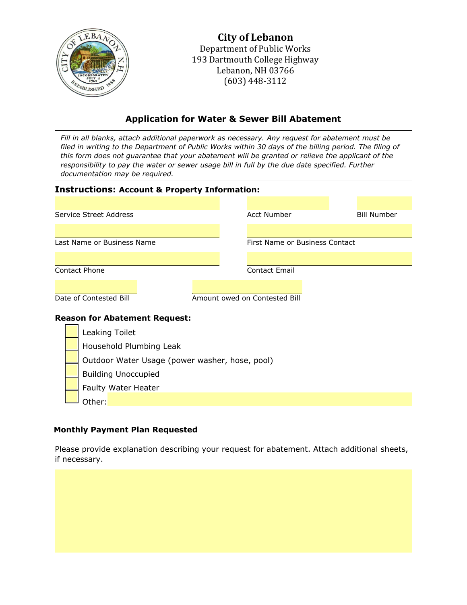

**City of Lebanon** Department of Public Works 193 Dartmouth College Highway Lebanon, NH 03766 (603) 448-3112

# **Application for Water & Sewer Bill Abatement**

*Fill in all blanks, attach additional paperwork as necessary. Any request for abatement must be filed in writing to the Department of Public Works within 30 days of the billing period. The filing of this form does not guarantee that your abatement will be granted or relieve the applicant of the responsibility to pay the water or sewer usage bill in full by the due date specified. Further documentation may be required.*

### **Instructions: Account & Property Information:**

| Service Street Address                         | <b>Acct Number</b>            |                                | <b>Bill Number</b> |
|------------------------------------------------|-------------------------------|--------------------------------|--------------------|
|                                                |                               |                                |                    |
| Last Name or Business Name                     |                               | First Name or Business Contact |                    |
|                                                |                               |                                |                    |
| Contact Phone                                  | <b>Contact Email</b>          |                                |                    |
|                                                |                               |                                |                    |
| Date of Contested Bill                         | Amount owed on Contested Bill |                                |                    |
| <b>Reason for Abatement Request:</b>           |                               |                                |                    |
| Leaking Toilet                                 |                               |                                |                    |
| Household Plumbing Leak                        |                               |                                |                    |
| Outdoor Water Usage (power washer, hose, pool) |                               |                                |                    |

Building Unoccupied

Faulty Water Heater

Other:

#### **Monthly Payment Plan Requested**

Please provide explanation describing your request for abatement. Attach additional sheets, if necessary.